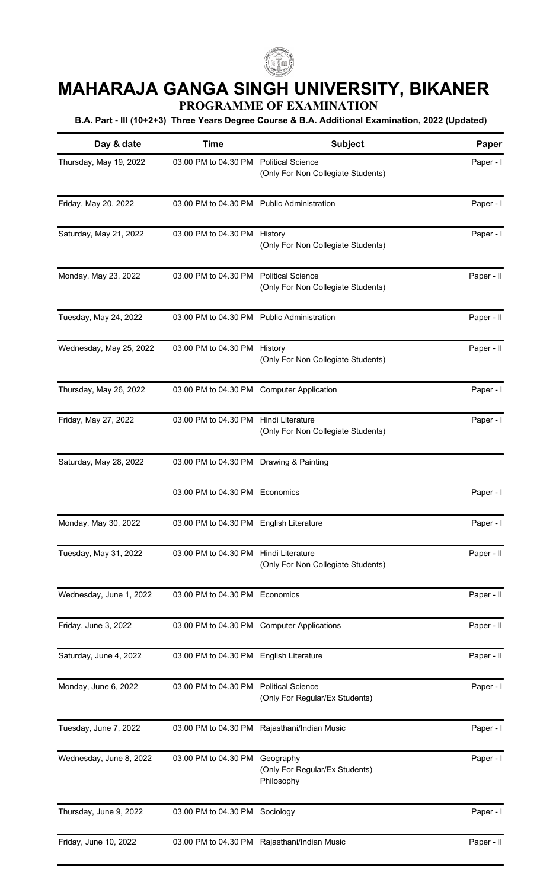

## **MAHARAJA GANGA SINGH UNIVERSITY, BIKANER**

**PROGRAMME OF EXAMINATION**

**B.A. Part - III (10+2+3) Three Years Degree Course & B.A. Additional Examination, 2022 (Updated)**

| Day & date              | <b>Time</b>                               | Subject                                                        | Paper      |
|-------------------------|-------------------------------------------|----------------------------------------------------------------|------------|
| Thursday, May 19, 2022  | 03.00 PM to 04.30 PM                      | <b>Political Science</b><br>(Only For Non Collegiate Students) | Paper - I  |
| Friday, May 20, 2022    | 03.00 PM to 04.30 PM                      | <b>Public Administration</b>                                   | Paper - I  |
| Saturday, May 21, 2022  | 03.00 PM to 04.30 PM                      | History<br>(Only For Non Collegiate Students)                  | Paper - I  |
| Monday, May 23, 2022    | 03.00 PM to 04.30 PM                      | <b>Political Science</b><br>(Only For Non Collegiate Students) | Paper - II |
| Tuesday, May 24, 2022   | 03.00 PM to 04.30 PM                      | <b>Public Administration</b>                                   | Paper - II |
| Wednesday, May 25, 2022 | 03.00 PM to 04.30 PM                      | History<br>(Only For Non Collegiate Students)                  | Paper - II |
| Thursday, May 26, 2022  | 03.00 PM to 04.30 PM                      | <b>Computer Application</b>                                    | Paper - I  |
| Friday, May 27, 2022    | 03.00 PM to 04.30 PM                      | Hindi Literature<br>(Only For Non Collegiate Students)         | Paper - I  |
| Saturday, May 28, 2022  | 03.00 PM to 04.30 PM                      | Drawing & Painting                                             |            |
|                         | 03.00 PM to 04.30 PM                      | Economics                                                      | Paper - I  |
| Monday, May 30, 2022    | 03.00 PM to 04.30 PM   English Literature |                                                                | Paper - I  |
| Tuesday, May 31, 2022   | 03.00 PM to 04.30 PM                      | Hindi Literature<br>(Only For Non Collegiate Students)         | Paper - II |
| Wednesday, June 1, 2022 | 03.00 PM to 04.30 PM                      | Economics                                                      | Paper - II |
| Friday, June 3, 2022    | 03.00 PM to 04.30 PM                      | <b>Computer Applications</b>                                   | Paper - II |
| Saturday, June 4, 2022  | 03.00 PM to 04.30 PM                      | English Literature                                             | Paper - II |
| Monday, June 6, 2022    | 03.00 PM to 04.30 PM                      | <b>Political Science</b><br>(Only For Regular/Ex Students)     | Paper - I  |
| Tuesday, June 7, 2022   | 03.00 PM to 04.30 PM                      | Rajasthani/Indian Music                                        | Paper - I  |
| Wednesday, June 8, 2022 | 03.00 PM to 04.30 PM                      | Geography<br>(Only For Regular/Ex Students)<br>Philosophy      | Paper - I  |
| Thursday, June 9, 2022  | 03.00 PM to 04.30 PM                      | Sociology                                                      | Paper - I  |
| Friday, June 10, 2022   | 03.00 PM to 04.30 PM                      | Rajasthani/Indian Music                                        | Paper - II |